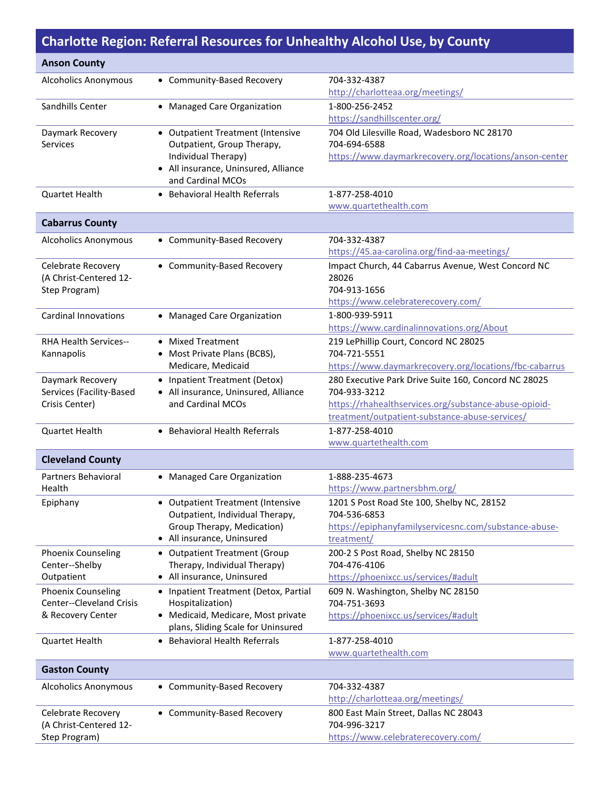## **Charlotte Region: Referral Resources for Unhealthy Alcohol Use, by County**

| <b>Anson County</b>                        |                                                                          |                                                                       |
|--------------------------------------------|--------------------------------------------------------------------------|-----------------------------------------------------------------------|
| <b>Alcoholics Anonymous</b>                | • Community-Based Recovery                                               | 704-332-4387                                                          |
|                                            |                                                                          | http://charlotteaa.org/meetings/                                      |
| Sandhills Center                           | • Managed Care Organization                                              | 1-800-256-2452                                                        |
|                                            |                                                                          | https://sandhillscenter.org/                                          |
| Daymark Recovery                           | • Outpatient Treatment (Intensive                                        | 704 Old Lilesville Road, Wadesboro NC 28170                           |
| <b>Services</b>                            | Outpatient, Group Therapy,                                               | 704-694-6588                                                          |
|                                            | Individual Therapy)<br>• All insurance, Uninsured, Alliance              | https://www.daymarkrecovery.org/locations/anson-center                |
|                                            | and Cardinal MCOs                                                        |                                                                       |
| Quartet Health                             | • Behavioral Health Referrals                                            | 1-877-258-4010                                                        |
|                                            |                                                                          | www.quartethealth.com                                                 |
| <b>Cabarrus County</b>                     |                                                                          |                                                                       |
| <b>Alcoholics Anonymous</b>                |                                                                          | 704-332-4387                                                          |
|                                            | • Community-Based Recovery                                               | https://45.aa-carolina.org/find-aa-meetings/                          |
| Celebrate Recovery                         | • Community-Based Recovery                                               | Impact Church, 44 Cabarrus Avenue, West Concord NC                    |
| (A Christ-Centered 12-                     |                                                                          | 28026                                                                 |
| Step Program)                              |                                                                          | 704-913-1656                                                          |
|                                            |                                                                          | https://www.celebraterecovery.com/                                    |
| <b>Cardinal Innovations</b>                | • Managed Care Organization                                              | 1-800-939-5911                                                        |
|                                            |                                                                          | https://www.cardinalinnovations.org/About                             |
| <b>RHA Health Services--</b>               | • Mixed Treatment                                                        | 219 LePhillip Court, Concord NC 28025                                 |
| Kannapolis                                 | Most Private Plans (BCBS),                                               | 704-721-5551                                                          |
|                                            | Medicare, Medicaid                                                       | https://www.daymarkrecovery.org/locations/fbc-cabarrus                |
| Daymark Recovery                           | • Inpatient Treatment (Detox)                                            | 280 Executive Park Drive Suite 160, Concord NC 28025                  |
| Services (Facility-Based<br>Crisis Center) | • All insurance, Uninsured, Alliance<br>and Cardinal MCOs                | 704-933-3212<br>https://rhahealthservices.org/substance-abuse-opioid- |
|                                            |                                                                          | treatment/outpatient-substance-abuse-services/                        |
| <b>Quartet Health</b>                      | • Behavioral Health Referrals                                            | 1-877-258-4010                                                        |
|                                            |                                                                          | www.quartethealth.com                                                 |
| <b>Cleveland County</b>                    |                                                                          |                                                                       |
| Partners Behavioral                        |                                                                          | 1-888-235-4673                                                        |
| Health                                     | • Managed Care Organization                                              | https://www.partnersbhm.org/                                          |
| Epiphany                                   | • Outpatient Treatment (Intensive                                        | 1201 S Post Road Ste 100, Shelby NC, 28152                            |
|                                            | Outpatient, Individual Therapy,                                          | 704-536-6853                                                          |
|                                            | Group Therapy, Medication)                                               | https://epiphanyfamilyservicesnc.com/substance-abuse-                 |
|                                            | • All insurance, Uninsured                                               | treatment/                                                            |
| <b>Phoenix Counseling</b>                  | • Outpatient Treatment (Group                                            | 200-2 S Post Road, Shelby NC 28150                                    |
| Center--Shelby                             | Therapy, Individual Therapy)                                             | 704-476-4106                                                          |
| Outpatient                                 | • All insurance, Uninsured                                               | https://phoenixcc.us/services/#adult                                  |
| <b>Phoenix Counseling</b>                  | • Inpatient Treatment (Detox, Partial                                    | 609 N. Washington, Shelby NC 28150                                    |
| <b>Center--Cleveland Crisis</b>            | Hospitalization)                                                         | 704-751-3693                                                          |
| & Recovery Center                          | • Medicaid, Medicare, Most private<br>plans, Sliding Scale for Uninsured | https://phoenixcc.us/services/#adult                                  |
| Quartet Health                             | • Behavioral Health Referrals                                            | 1-877-258-4010                                                        |
|                                            |                                                                          | www.quartethealth.com                                                 |
| <b>Gaston County</b>                       |                                                                          |                                                                       |
|                                            |                                                                          |                                                                       |
| <b>Alcoholics Anonymous</b>                | • Community-Based Recovery                                               | 704-332-4387<br>http://charlotteaa.org/meetings/                      |
| Celebrate Recovery                         | • Community-Based Recovery                                               | 800 East Main Street, Dallas NC 28043                                 |
| (A Christ-Centered 12-                     |                                                                          | 704-996-3217                                                          |
| Step Program)                              |                                                                          | https://www.celebraterecovery.com/                                    |
|                                            |                                                                          |                                                                       |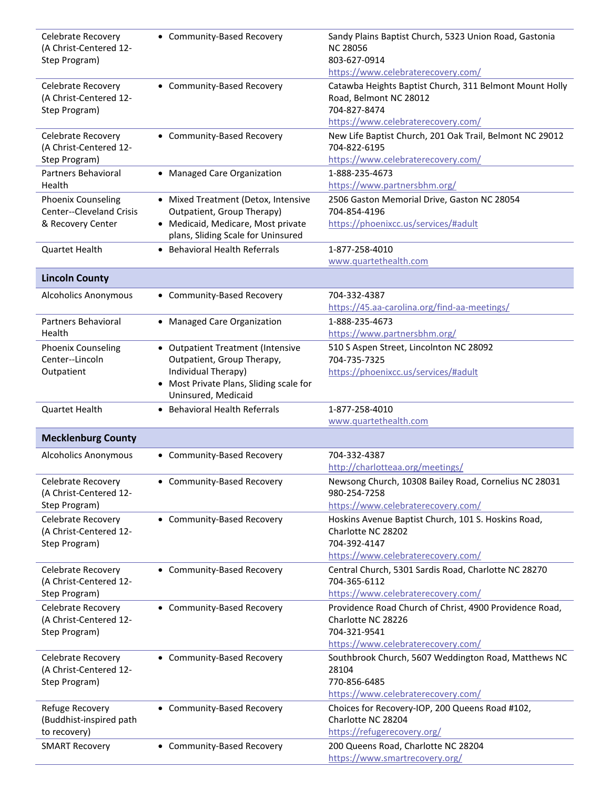| Celebrate Recovery<br>(A Christ-Centered 12-<br>Step Program)              | • Community-Based Recovery                                                                                                                             | Sandy Plains Baptist Church, 5323 Union Road, Gastonia<br><b>NC 28056</b><br>803-627-0914                                                        |
|----------------------------------------------------------------------------|--------------------------------------------------------------------------------------------------------------------------------------------------------|--------------------------------------------------------------------------------------------------------------------------------------------------|
|                                                                            |                                                                                                                                                        | https://www.celebraterecovery.com/                                                                                                               |
| <b>Celebrate Recovery</b><br>(A Christ-Centered 12-<br>Step Program)       | • Community-Based Recovery                                                                                                                             | Catawba Heights Baptist Church, 311 Belmont Mount Holly<br>Road, Belmont NC 28012<br>704-827-8474<br>https://www.celebraterecovery.com/          |
| Celebrate Recovery<br>(A Christ-Centered 12-<br>Step Program)              | • Community-Based Recovery                                                                                                                             | New Life Baptist Church, 201 Oak Trail, Belmont NC 29012<br>704-822-6195<br>https://www.celebraterecovery.com/                                   |
| Partners Behavioral<br>Health                                              | • Managed Care Organization                                                                                                                            | 1-888-235-4673<br>https://www.partnersbhm.org/                                                                                                   |
| <b>Phoenix Counseling</b><br>Center--Cleveland Crisis<br>& Recovery Center | • Mixed Treatment (Detox, Intensive<br>Outpatient, Group Therapy)<br>• Medicaid, Medicare, Most private                                                | 2506 Gaston Memorial Drive, Gaston NC 28054<br>704-854-4196<br>https://phoenixcc.us/services/#adult                                              |
| <b>Quartet Health</b>                                                      | plans, Sliding Scale for Uninsured<br>• Behavioral Health Referrals                                                                                    | 1-877-258-4010<br>www.quartethealth.com                                                                                                          |
| <b>Lincoln County</b>                                                      |                                                                                                                                                        |                                                                                                                                                  |
| <b>Alcoholics Anonymous</b>                                                | • Community-Based Recovery                                                                                                                             | 704-332-4387<br>https://45.aa-carolina.org/find-aa-meetings/                                                                                     |
| <b>Partners Behavioral</b><br>Health                                       | • Managed Care Organization                                                                                                                            | 1-888-235-4673<br>https://www.partnersbhm.org/                                                                                                   |
| <b>Phoenix Counseling</b><br>Center--Lincoln<br>Outpatient                 | • Outpatient Treatment (Intensive<br>Outpatient, Group Therapy,<br>Individual Therapy)<br>Most Private Plans, Sliding scale for<br>Uninsured, Medicaid | 510 S Aspen Street, Lincolnton NC 28092<br>704-735-7325<br>https://phoenixcc.us/services/#adult                                                  |
| Quartet Health                                                             | • Behavioral Health Referrals                                                                                                                          | 1-877-258-4010<br>www.quartethealth.com                                                                                                          |
| <b>Mecklenburg County</b>                                                  |                                                                                                                                                        |                                                                                                                                                  |
| <b>Alcoholics Anonymous</b>                                                | • Community-Based Recovery                                                                                                                             | 704-332-4387<br>http://charlotteaa.org/meetings/                                                                                                 |
| Celebrate Recovery<br>(A Christ-Centered 12-<br>Step Program)              | • Community-Based Recovery                                                                                                                             | Newsong Church, 10308 Bailey Road, Cornelius NC 28031<br>980-254-7258<br>https://www.celebraterecovery.com/                                      |
| <b>Celebrate Recovery</b><br>(A Christ-Centered 12-<br>Step Program)       | • Community-Based Recovery                                                                                                                             | Hoskins Avenue Baptist Church, 101 S. Hoskins Road,<br>Charlotte NC 28202<br>704-392-4147                                                        |
| Celebrate Recovery                                                         |                                                                                                                                                        |                                                                                                                                                  |
| (A Christ-Centered 12-<br>Step Program)                                    | • Community-Based Recovery                                                                                                                             | https://www.celebraterecovery.com/<br>Central Church, 5301 Sardis Road, Charlotte NC 28270<br>704-365-6112<br>https://www.celebraterecovery.com/ |
| Celebrate Recovery<br>(A Christ-Centered 12-<br>Step Program)              | • Community-Based Recovery                                                                                                                             | Providence Road Church of Christ, 4900 Providence Road,<br>Charlotte NC 28226<br>704-321-9541<br>https://www.celebraterecovery.com/              |
| Celebrate Recovery<br>(A Christ-Centered 12-<br>Step Program)              | • Community-Based Recovery                                                                                                                             | Southbrook Church, 5607 Weddington Road, Matthews NC<br>28104<br>770-856-6485<br>https://www.celebraterecovery.com/                              |
| Refuge Recovery<br>(Buddhist-inspired path<br>to recovery)                 | • Community-Based Recovery                                                                                                                             | Choices for Recovery-IOP, 200 Queens Road #102,<br>Charlotte NC 28204<br>https://refugerecovery.org/                                             |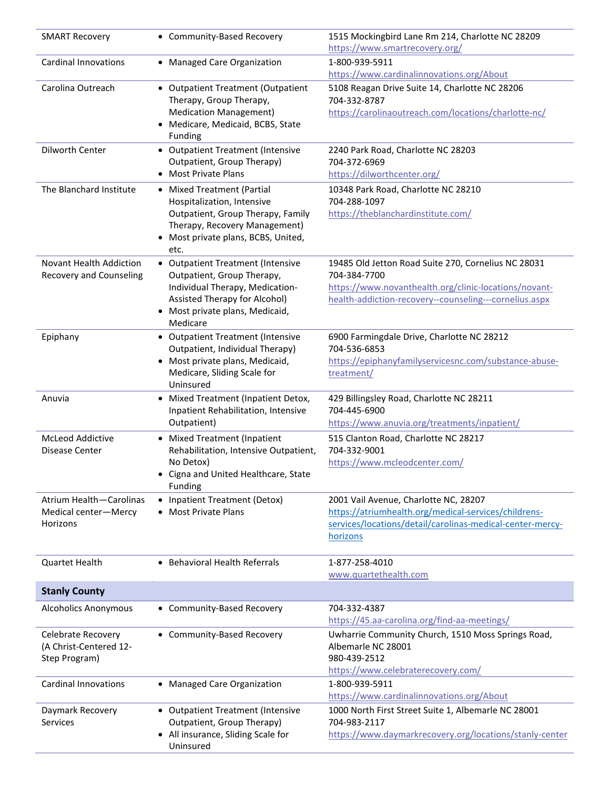| <b>SMART Recovery</b>                                         | • Community-Based Recovery                                                                                                                                                         | 1515 Mockingbird Lane Rm 214, Charlotte NC 28209<br>https://www.smartrecovery.org/                                                                                                     |
|---------------------------------------------------------------|------------------------------------------------------------------------------------------------------------------------------------------------------------------------------------|----------------------------------------------------------------------------------------------------------------------------------------------------------------------------------------|
| <b>Cardinal Innovations</b>                                   | • Managed Care Organization                                                                                                                                                        | 1-800-939-5911<br>https://www.cardinalinnovations.org/About                                                                                                                            |
| Carolina Outreach                                             | • Outpatient Treatment (Outpatient<br>Therapy, Group Therapy,<br><b>Medication Management)</b><br>Medicare, Medicaid, BCBS, State<br><b>Funding</b>                                | 5108 Reagan Drive Suite 14, Charlotte NC 28206<br>704-332-8787<br>https://carolinaoutreach.com/locations/charlotte-nc/                                                                 |
| Dilworth Center                                               | • Outpatient Treatment (Intensive<br>Outpatient, Group Therapy)<br>• Most Private Plans                                                                                            | 2240 Park Road, Charlotte NC 28203<br>704-372-6969<br>https://dilworthcenter.org/                                                                                                      |
| The Blanchard Institute                                       | • Mixed Treatment (Partial<br>Hospitalization, Intensive<br>Outpatient, Group Therapy, Family<br>Therapy, Recovery Management)<br>Most private plans, BCBS, United,<br>etc.        | 10348 Park Road, Charlotte NC 28210<br>704-288-1097<br>https://theblanchardinstitute.com/                                                                                              |
| Novant Health Addiction<br><b>Recovery and Counseling</b>     | • Outpatient Treatment (Intensive<br>Outpatient, Group Therapy,<br>Individual Therapy, Medication-<br>Assisted Therapy for Alcohol)<br>• Most private plans, Medicaid,<br>Medicare | 19485 Old Jetton Road Suite 270, Cornelius NC 28031<br>704-384-7700<br>https://www.novanthealth.org/clinic-locations/novant-<br>health-addiction-recovery--counseling---cornelius.aspx |
| Epiphany                                                      | • Outpatient Treatment (Intensive<br>Outpatient, Individual Therapy)<br>• Most private plans, Medicaid,<br>Medicare, Sliding Scale for<br>Uninsured                                | 6900 Farmingdale Drive, Charlotte NC 28212<br>704-536-6853<br>https://epiphanyfamilyservicesnc.com/substance-abuse-<br>treatment/                                                      |
| Anuvia                                                        | • Mixed Treatment (Inpatient Detox,<br>Inpatient Rehabilitation, Intensive<br>Outpatient)                                                                                          | 429 Billingsley Road, Charlotte NC 28211<br>704-445-6900<br>https://www.anuvia.org/treatments/inpatient/                                                                               |
| <b>McLeod Addictive</b><br>Disease Center                     | • Mixed Treatment (Inpatient<br>Rehabilitation, Intensive Outpatient,<br>No Detox)<br>• Cigna and United Healthcare, State<br><b>Funding</b>                                       | 515 Clanton Road, Charlotte NC 28217<br>704-332-9001<br>https://www.mcleodcenter.com/                                                                                                  |
| Atrium Health-Carolinas<br>Medical center-Mercy<br>Horizons   | • Inpatient Treatment (Detox)<br><b>Most Private Plans</b>                                                                                                                         | 2001 Vail Avenue, Charlotte NC, 28207<br>https://atriumhealth.org/medical-services/childrens-<br>services/locations/detail/carolinas-medical-center-mercy-<br>horizons                 |
| Quartet Health                                                | • Behavioral Health Referrals                                                                                                                                                      | 1-877-258-4010<br>www.quartethealth.com                                                                                                                                                |
| <b>Stanly County</b>                                          |                                                                                                                                                                                    |                                                                                                                                                                                        |
| <b>Alcoholics Anonymous</b>                                   | • Community-Based Recovery                                                                                                                                                         | 704-332-4387<br>https://45.aa-carolina.org/find-aa-meetings/                                                                                                                           |
| Celebrate Recovery<br>(A Christ-Centered 12-<br>Step Program) | • Community-Based Recovery                                                                                                                                                         | Uwharrie Community Church, 1510 Moss Springs Road,<br>Albemarle NC 28001<br>980-439-2512<br>https://www.celebraterecovery.com/                                                         |
| <b>Cardinal Innovations</b>                                   | • Managed Care Organization                                                                                                                                                        | 1-800-939-5911<br>https://www.cardinalinnovations.org/About                                                                                                                            |
| Daymark Recovery<br><b>Services</b>                           | • Outpatient Treatment (Intensive<br>Outpatient, Group Therapy)<br>• All insurance, Sliding Scale for<br>Uninsured                                                                 | 1000 North First Street Suite 1, Albemarle NC 28001<br>704-983-2117<br>https://www.daymarkrecovery.org/locations/stanly-center                                                         |